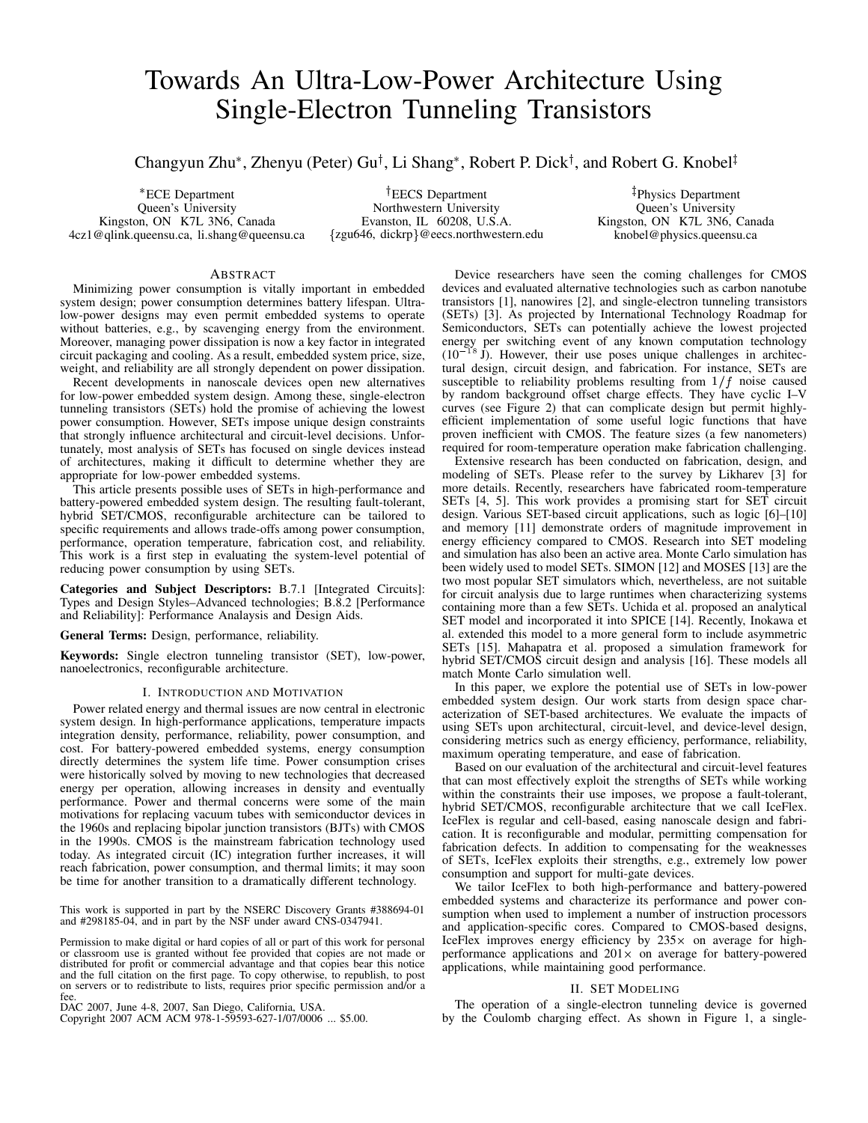# Towards An Ultra-Low-Power Architecture Using Single-Electron Tunneling Transistors

Changyun Zhu\*, Zhenyu (Peter) Gu<sup>†</sup>, Li Shang\*, Robert P. Dick<sup>†</sup>, and Robert G. Knobel<sup>‡</sup>

 ECE Department Queen's University Kingston, ON K7L 3N6, Canada 4cz1@qlink.queensu.ca, li.shang@queensu.ca

<sup>T</sup>EECS Department Northwestern University Evanston, IL 60208, U.S.A. {zgu646, dickrp}@eecs.northwestern.edu

<sup>z</sup> Physics Department Queen's University Kingston, ON K7L 3N6, Canada knobel@physics.queensu.ca

# ABSTRACT

Minimizing power consumption is vitally important in embedded system design; power consumption determines battery lifespan. Ultralow-power designs may even permit embedded systems to operate without batteries, e.g., by scavenging energy from the environment. Moreover, managing power dissipation is now a key factor in integrated circuit packaging and cooling. As a result, embedded system price, size, weight, and reliability are all strongly dependent on power dissipation.

Recent developments in nanoscale devices open new alternatives for low-power embedded system design. Among these, single-electron tunneling transistors (SETs) hold the promise of achieving the lowest power consumption. However, SETs impose unique design constraints that strongly influence architectural and circuit-level decisions. Unfortunately, most analysis of SETs has focused on single devices instead of architectures, making it difficult to determine whether they are appropriate for low-power embedded systems.

This article presents possible uses of SETs in high-performance and battery-powered embedded system design. The resulting fault-tolerant, hybrid SET/CMOS, reconfigurable architecture can be tailored to specific requirements and allows trade-offs among power consumption, performance, operation temperature, fabrication cost, and reliability. This work is a first step in evaluating the system-level potential of reducing power consumption by using SETs.

**Categories and Subject Descriptors:** B.7.1 [Integrated Circuits]: Types and Design Styles–Advanced technologies; B.8.2 [Performance and Reliability]: Performance Analaysis and Design Aids.

**General Terms:** Design, performance, reliability.

**Keywords:** Single electron tunneling transistor (SET), low-power, nanoelectronics, reconfigurable architecture.

## I. INTRODUCTION AND MOTIVATION

Power related energy and thermal issues are now central in electronic system design. In high-performance applications, temperature impacts integration density, performance, reliability, power consumption, and cost. For battery-powered embedded systems, energy consumption directly determines the system life time. Power consumption crises were historically solved by moving to new technologies that decreased energy per operation, allowing increases in density and eventually performance. Power and thermal concerns were some of the main motivations for replacing vacuum tubes with semiconductor devices in the 1960s and replacing bipolar junction transistors (BJTs) with CMOS in the 1990s. CMOS is the mainstream fabrication technology used today. As integrated circuit (IC) integration further increases, it will reach fabrication, power consumption, and thermal limits; it may soon be time for another transition to a dramatically different technology.

This work is supported in part by the NSERC Discovery Grants #388694-01 and #298185-04, and in part by the NSF under award CNS-0347941.

Permission to make digital or hard copies of all or part of this work for personal or classroom use is granted without fee provided that copies are not made or distributed for profit or commercial advantage and that copies bear this notice and the full citation on the first page. To copy otherwise, to republish, to post on servers or to redistribute to lists, requires prior specific permission and/or a fee.

DAC 2007, June 4-8, 2007, San Diego, California, USA.

Copyright 2007 ACM ACM 978-1-59593-627-1/07/0006 ... \$5.00.

Device researchers have seen the coming challenges for CMOS devices and evaluated alternative technologies such as carbon nanotube transistors [1], nanowires [2], and single-electron tunneling transistors (SETs) [3]. As projected by International Technology Roadmap for Semiconductors, SETs can potentially achieve the lowest projected energy per switching event of any known computation technology  $(10^{-18} \text{ J})$ . However, their use poses unique challenges in architectural design, circuit design, and fabrication. For instance, SETs are susceptible to reliability problems resulting from  $1/f$  noise caused by random background offset charge effects. They have cyclic I–V curves (see Figure 2) that can complicate design but permit highlyefficient implementation of some useful logic functions that have proven inefficient with CMOS. The feature sizes (a few nanometers) required for room-temperature operation make fabrication challenging.

Extensive research has been conducted on fabrication, design, and modeling of SETs. Please refer to the survey by Likharev [3] for more details. Recently, researchers have fabricated room-temperature SETs [4, 5]. This work provides a promising start for SET circuit design. Various SET-based circuit applications, such as logic [6]–[10] and memory [11] demonstrate orders of magnitude improvement in energy efficiency compared to CMOS. Research into SET modeling and simulation has also been an active area. Monte Carlo simulation has been widely used to model SETs. SIMON [12] and MOSES [13] are the two most popular SET simulators which, nevertheless, are not suitable for circuit analysis due to large runtimes when characterizing systems containing more than a few SETs. Uchida et al. proposed an analytical SET model and incorporated it into SPICE [14]. Recently, Inokawa et al. extended this model to a more general form to include asymmetric SETs [15]. Mahapatra et al. proposed a simulation framework for hybrid SET/CMOS circuit design and analysis [16]. These models all match Monte Carlo simulation well.

In this paper, we explore the potential use of SETs in low-power embedded system design. Our work starts from design space characterization of SET-based architectures. We evaluate the impacts of using SETs upon architectural, circuit-level, and device-level design, considering metrics such as energy efficiency, performance, reliability, maximum operating temperature, and ease of fabrication.

Based on our evaluation of the architectural and circuit-level features that can most effectively exploit the strengths of SETs while working within the constraints their use imposes, we propose a fault-tolerant, hybrid SET/CMOS, reconfigurable architecture that we call IceFlex. IceFlex is regular and cell-based, easing nanoscale design and fabrication. It is reconfigurable and modular, permitting compensation for fabrication defects. In addition to compensating for the weaknesses of SETs, IceFlex exploits their strengths, e.g., extremely low power consumption and support for multi-gate devices.

We tailor IceFlex to both high-performance and battery-powered embedded systems and characterize its performance and power consumption when used to implement a number of instruction processors and application-specific cores. Compared to CMOS-based designs, IceFlex improves energy efficiency by  $235 \times$  on average for highperformance applications and  $201 \times$  on average for battery-powered applications, while maintaining good performance.

# II. SET MODELING

The operation of a single-electron tunneling device is governed by the Coulomb charging effect. As shown in Figure 1, a single-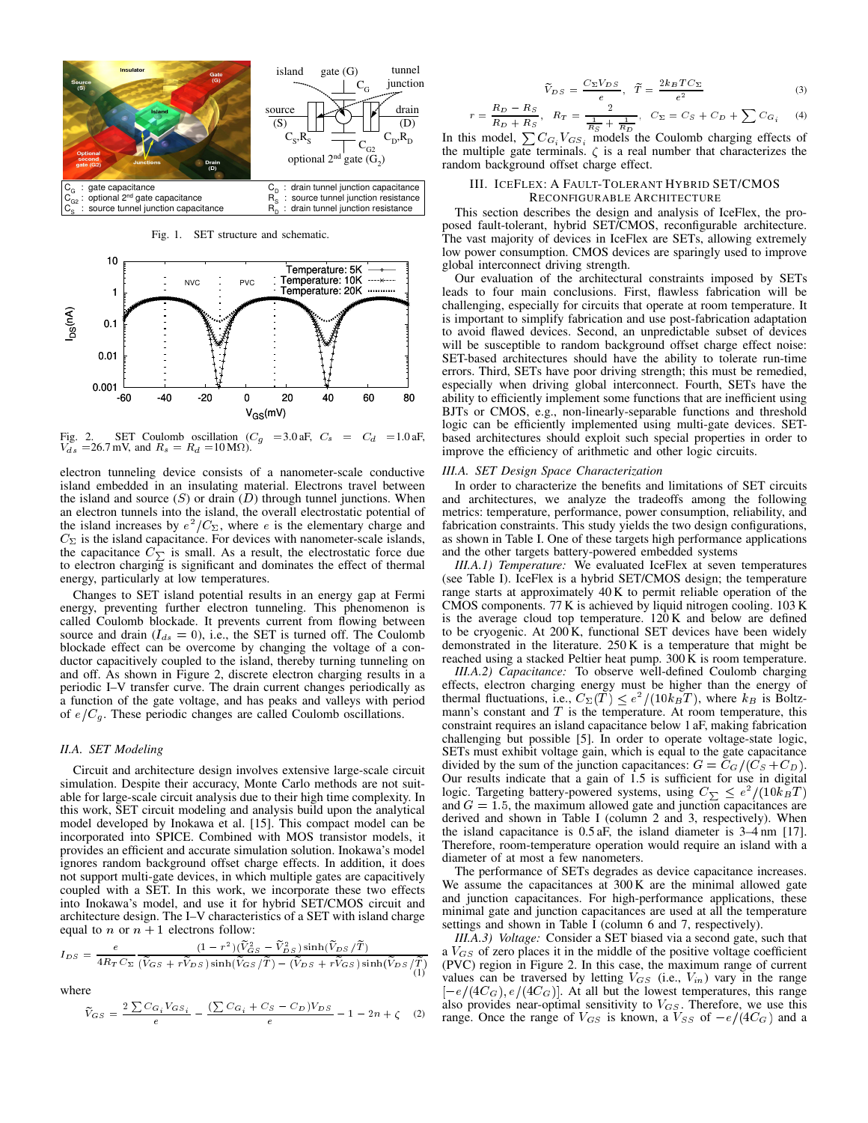

Fig. 1. SET structure and schematic.



Fig. 2. SET Coulomb oscillation  $(C_g = 3.0 \text{ aF}, C_s = C_d = 1.0 \text{ aF},$  $V_{ds}$  = 26.7 mV, and  $R_s = R_d$  = 10 M $\Omega$ ).

electron tunneling device consists of a nanometer-scale conductive island embedded in an insulating material. Electrons travel between the island and source  $(S)$  or drain  $(D)$  through tunnel junctions. When an electron tunnels into the island, the overall electrostatic potential of the island increases by  $e^2/C_{\Sigma}$ , where e is the elementary charge and  $C_{\Sigma}$  is the island capacitance. For devices with nanometer-scale islands, the capacitance  $C_{\Sigma}$  is small. As a result, the electrostatic force due to electron charging is significant and dominates the effect of thermal energy, particularly at low temperatures.

Changes to SET island potential results in an energy gap at Fermi energy, preventing further electron tunneling. This phenomenon is called Coulomb blockade. It prevents current from flowing between source and drain ( $I_{ds} = 0$ ), i.e., the SET is turned off. The Coulomb blockade effect can be overcome by changing the voltage of a conductor capacitively coupled to the island, thereby turning tunneling on and off. As shown in Figure 2, discrete electron charging results in a periodic I–V transfer curve. The drain current changes periodically as a function of the gate voltage, and has peaks and valleys with period of  $e/C_g$ . These periodic changes are called Coulomb oscillations.

# *II.A. SET Modeling*

Circuit and architecture design involves extensive large-scale circuit simulation. Despite their accuracy, Monte Carlo methods are not suitable for large-scale circuit analysis due to their high time complexity. In this work, SET circuit modeling and analysis build upon the analytical model developed by Inokawa et al. [15]. This compact model can be incorporated into SPICE. Combined with MOS transistor models, it provides an efficient and accurate simulation solution. Inokawa's model ignores random background offset charge effects. In addition, it does not support multi-gate devices, in which multiple gates are capacitively coupled with a SET. In this work, we incorporate these two effects into Inokawa's model, and use it for hybrid SET/CMOS circuit and architecture design. The I–V characteristics of a SET with island charge equal to *n* or  $n + 1$  electrons follow:

$$
I_{DS} = \frac{e}{4R_T C_{\Sigma}} \frac{(1 - r^2)(\tilde{V}_{GS}^2 - \tilde{V}_{DS}^2) \sinh(\tilde{V}_{DS}/\tilde{T})}{(\tilde{V}_{GS} + r\tilde{V}_{DS}) \sinh(\tilde{V}_{GS}/\tilde{T}) - (\tilde{V}_{DS} + r\tilde{V}_{GS}) \sinh(\tilde{V}_{DS}/\tilde{T})}
$$
(1)

where

$$
\widetilde{V}_{G\,S} = \frac{2\sum C_{G\,i}V_{G\,S\,i}}{e} - \frac{(\sum C_{G\,i} + C_{S} - C_{D})V_{D\,S}}{e} - 1 - 2n + \zeta \quad (2)
$$

$$
\widetilde{V}_{DS} = \frac{C_{\Sigma} V_{DS}}{e}, \quad \widetilde{T} = \frac{2k_B T C_{\Sigma}}{e^2}
$$
\n(3)

$$
r = \frac{R_D - R_S}{R_D + R_S}, \quad R_T = \frac{2}{\frac{1}{R_S} + \frac{1}{R_D}}, \quad C_{\Sigma} = C_S + C_D + \sum C_{G_i}
$$
 (4)  
In this model,  $\sum C_{G_i} V_{GS_i}$  models the Coulomb charging effects of

the multiple gate terminals.  $\zeta$  is a real number that characterizes the random background offset charge effect.

## III. ICEFLEX: A FAULT-TOLERANT HYBRID SET/CMOS RECONFIGURABLE ARCHITECTURE

This section describes the design and analysis of IceFlex, the proposed fault-tolerant, hybrid SET/CMOS, reconfigurable architecture. The vast majority of devices in IceFlex are SETs, allowing extremely low power consumption. CMOS devices are sparingly used to improve global interconnect driving strength.

Our evaluation of the architectural constraints imposed by SETs leads to four main conclusions. First, flawless fabrication will be challenging, especially for circuits that operate at room temperature. It is important to simplify fabrication and use post-fabrication adaptation to avoid flawed devices. Second, an unpredictable subset of devices will be susceptible to random background offset charge effect noise: SET-based architectures should have the ability to tolerate run-time errors. Third, SETs have poor driving strength; this must be remedied, especially when driving global interconnect. Fourth, SETs have the ability to efficiently implement some functions that are inefficient using BJTs or CMOS, e.g., non-linearly-separable functions and threshold logic can be efficiently implemented using multi-gate devices. SETbased architectures should exploit such special properties in order to improve the efficiency of arithmetic and other logic circuits.

#### *III.A. SET Design Space Characterization*

In order to characterize the benefits and limitations of SET circuits and architectures, we analyze the tradeoffs among the following metrics: temperature, performance, power consumption, reliability, and fabrication constraints. This study yields the two design configurations, as shown in Table I. One of these targets high performance applications and the other targets battery-powered embedded systems

*III.A.1) Temperature:* We evaluated IceFlex at seven temperatures (see Table I). IceFlex is a hybrid SET/CMOS design; the temperature range starts at approximately 40 K to permit reliable operation of the CMOS components. 77 K is achieved by liquid nitrogen cooling. 103 K is the average cloud top temperature. 120 K and below are defined to be cryogenic. At 200 K, functional SET devices have been widely demonstrated in the literature. 250 K is a temperature that might be reached using a stacked Peltier heat pump.  $300 \text{ K}$  is room temperature.

*III.A.2) Capacitance:* To observe well-defined Coulomb charging effects, electron charging energy must be higher than the energy of thermal fluctuations, i.e.,  $C_{\Sigma}(T) \leq e^2/(10k_BT)$ , where  $k_B$  is Boltzmann's constant and  $T$  is the temperature. At room temperature, this constraint requires an island capacitance below 1 aF, making fabrication challenging but possible [5]. In order to operate voltage-state logic, SETs must exhibit voltage gain, which is equal to the gate capacitance divided by the sum of the junction capacitances:  $G = C_G/(C_S + C_D)$ . Our results indicate that a gain of  $1.5$  is sufficient for use in digital logic. Targeting battery-powered systems, using  $C_{\sum} \leq e^2/(10k_BT)$ and  $G = 1.5$ , the maximum allowed gate and junction capacitances are derived and shown in Table I (column 2 and 3, respectively). When the island capacitance is 0.5 aF, the island diameter is 3–4 nm [17]. Therefore, room-temperature operation would require an island with a diameter of at most a few nanometers.

The performance of SETs degrades as device capacitance increases. We assume the capacitances at  $300 \text{ K}$  are the minimal allowed gate and junction capacitances. For high-performance applications, these minimal gate and junction capacitances are used at all the temperature settings and shown in Table I (column 6 and 7, respectively).

*III.A.3) Voltage:* Consider a SET biased via a second gate, such that a  $V_{GS}$  of zero places it in the middle of the positive voltage coefficient (PVC) region in Figure 2. In this case, the maximum range of current values can be traversed by letting  $V_{GS}$  (i.e.,  $V_{in}$ ) vary in the range  $[-e/(4C_G), e/(4C_G)]$ . At all but the lowest temperatures, this range also provides near-optimal sensitivity to  $V_{GS}$ . Therefore, we use this range. Once the range of  $V_{GS}$  is known, a  $V_{SS}$  of  $-e/(4C_G)$  and a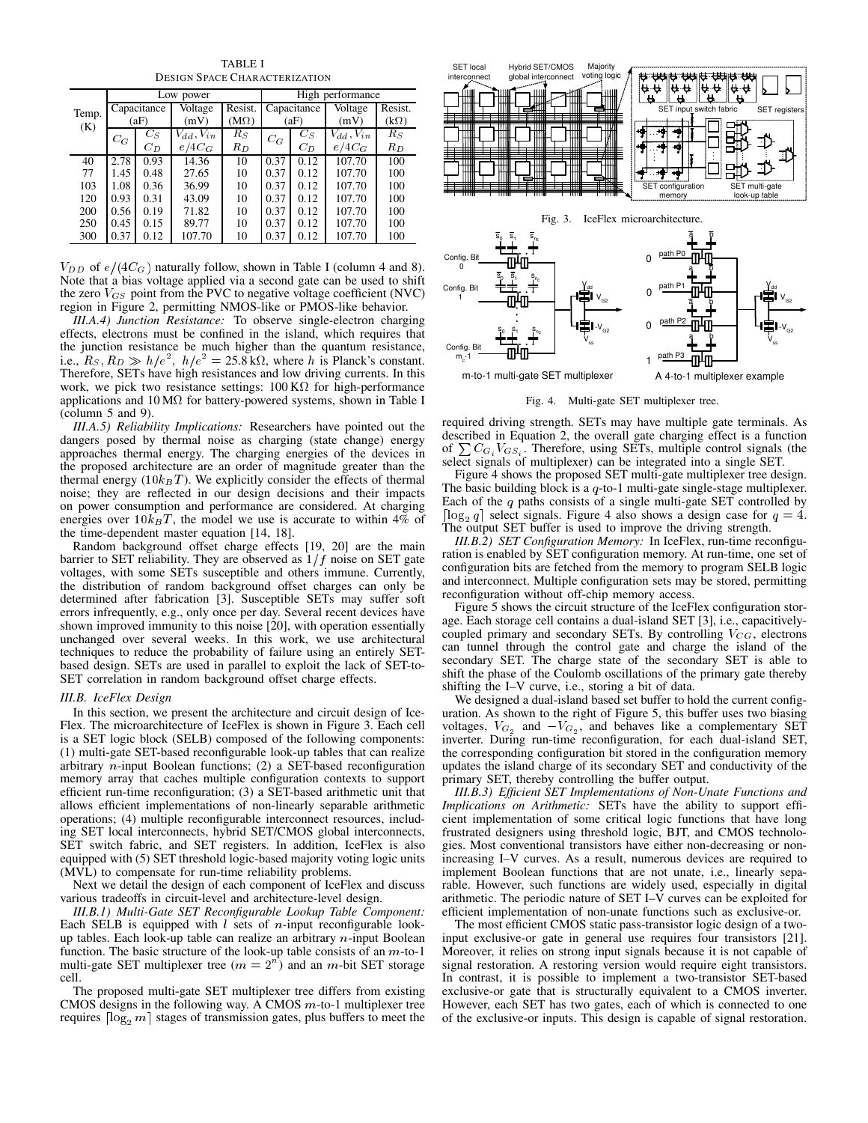TABLE I DESIGN SPACE CHARACTERIZATION

|       |       |             | Low power        |             | High performance |       |                  |             |  |  |
|-------|-------|-------------|------------------|-------------|------------------|-------|------------------|-------------|--|--|
| Temp. |       | Capacitance | <b>Voltage</b>   | Resist.     | Capacitance      |       | <b>Voltage</b>   | Resist.     |  |  |
| (K)   |       | (aF)        | (mV)             | $(M\Omega)$ |                  | (aF)  | (mV)             | $(k\Omega)$ |  |  |
|       | $C_G$ | $C_S$       | $V_{dd}, V_{in}$ | $R_S$       | $C_G$            | $C_S$ | $V_{dd}, V_{in}$ | $R_S$       |  |  |
|       |       | $C_D$       | $e/4C_G$         | $R_D$       |                  | $C_D$ | $e/4C_G$         | $R_D$       |  |  |
| 40    | 2.78  | 0.93        | 14.36            | 10          | 0.37             | 0.12  | 107.70           | 100         |  |  |
| 77    | 1.45  | 0.48        | 27.65            | 10          | 0.37             | 0.12  | 107.70           | 100         |  |  |
| 103   | 1.08  | 0.36        | 36.99            | 10          | 0.37             | 0.12  | 107.70           | 100         |  |  |
| 120   | 0.93  | 0.31        | 43.09            | 10          | 0.37             | 0.12  | 107.70           | 100         |  |  |
| 200   | 0.56  | 0.19        | 71.82            | 10          | 0.37             | 0.12  | 107.70           | 100         |  |  |
| 250   | 0.45  | 0.15        | 89.77            | 10          | 0.37             | 0.12  | 107.70           | 100         |  |  |
| 300   | 0.37  | 0.12        | 107.70           | 10          | 0.37             | 0.12  | 107.70           | 100         |  |  |

 $V_{DD}$  of  $e/(4C_G)$  naturally follow, shown in Table I (column 4 and 8). Note that a bias voltage applied via a second gate can be used to shift the zero  $V_{GS}$  point from the PVC to negative voltage coefficient (NVC) region in Figure 2, permitting NMOS-like or PMOS-like behavior.

*III.A.4) Junction Resistance:* To observe single-electron charging effects, electrons must be confined in the island, which requires that the junction resistance be much higher than the quantum resistance, i.e.,  $R_s$ ,  $R_D \gg h/e^2$ ,  $h/e^2 = 25.8 \,\mathrm{k}\Omega$ , where h is Planck's constant. Therefore, SETs have high resistances and low driving currents. In this work, we pick two resistance settings:  $100 \text{ K}\Omega$  for high-performance applications and  $10 \text{ M}\Omega$  for battery-powered systems, shown in Table I (column 5 and 9).

*III.A.5) Reliability Implications:* Researchers have pointed out the dangers posed by thermal noise as charging (state change) energy approaches thermal energy. The charging energies of the devices in the proposed architecture are an order of magnitude greater than the thermal energy  $(10k_BT)$ . We explicitly consider the effects of thermal noise; they are reflected in our design decisions and their impacts on power consumption and performance are considered. At charging energies over  $10k_BT$ , the model we use is accurate to within 4% of the time-dependent master equation [14, 18].

Random background offset charge effects [19, 20] are the main barrier to SET reliability. They are observed as  $1/f$  noise on SET gate voltages, with some SETs susceptible and others immune. Currently, the distribution of random background offset charges can only be determined after fabrication [3]. Susceptible SETs may suffer soft errors infrequently, e.g., only once per day. Several recent devices have shown improved immunity to this noise [20], with operation essentially unchanged over several weeks. In this work, we use architectural techniques to reduce the probability of failure using an entirely SETbased design. SETs are used in parallel to exploit the lack of SET-to-SET correlation in random background offset charge effects.

#### *III.B. IceFlex Design*

In this section, we present the architecture and circuit design of Ice-Flex. The microarchitecture of IceFlex is shown in Figure 3. Each cell is a SET logic block (SELB) composed of the following components: (1) multi-gate SET-based reconfigurable look-up tables that can realize arbitrary *n*-input Boolean functions; (2) a SET-based reconfiguration memory array that caches multiple configuration contexts to support efficient run-time reconfiguration; (3) a SET-based arithmetic unit that allows efficient implementations of non-linearly separable arithmetic operations; (4) multiple reconfigurable interconnect resources, including SET local interconnects, hybrid SET/CMOS global interconnects, SET switch fabric, and SET registers. In addition, IceFlex is also equipped with (5) SET threshold logic-based majority voting logic units (MVL) to compensate for run-time reliability problems.

Next we detail the design of each component of IceFlex and discuss various tradeoffs in circuit-level and architecture-level design.

*III.B.1) Multi-Gate SET Reconfigurable Lookup Table Component:* Each SELB is equipped with  $l$  sets of *n*-input reconfigurable lookup tables. Each look-up table can realize an arbitrary  $n$ -input Boolean function. The basic structure of the look-up table consists of an  $m$ -to-1 multi-gate SET multiplexer tree  $(m = 2<sup>n</sup>)$  and an *m*-bit SET storage cell.

The proposed multi-gate SET multiplexer tree differs from existing CMOS designs in the following way. A CMOS  $m$ -to-1 multiplexer tree requires  $\lceil \log_2 m \rceil$  stages of transmission gates, plus buffers to meet the



Fig. 4. Multi-gate SET multiplexer tree.

required driving strength. SETs may have multiple gate terminals. As described in Equation 2, the overall gate charging effect is a function of  $\sum C_{G_i} V_{GS_i}$ . Therefore, using SETs, multiple control signals (the select signals of multiplexer) can be integrated into a single SET.

Figure 4 shows the proposed SET multi-gate multiplexer tree design. The basic building block is a  $q$ -to-1 multi-gate single-stage multiplexer. Each of the  $q$  paths consists of a single multi-gate SET controlled by [ $\log_2 q$ ] select signals. Figure 4 also shows a design case for  $q = 4$ . The output SET buffer is used to improve the driving strength.

*III.B.2) SET Configuration Memory:* In IceFlex, run-time reconfiguration is enabled by SET configuration memory. At run-time, one set of configuration bits are fetched from the memory to program SELB logic and interconnect. Multiple configuration sets may be stored, permitting reconfiguration without off-chip memory access.

Figure 5 shows the circuit structure of the IceFlex configuration storage. Each storage cell contains a dual-island SET [3], i.e., capacitivelycoupled primary and secondary SETs. By controlling  $V_{CG}$ , electrons can tunnel through the control gate and charge the island of the secondary SET. The charge state of the secondary SET is able to shift the phase of the Coulomb oscillations of the primary gate thereby shifting the I–V curve, i.e., storing a bit of data.

We designed a dual-island based set buffer to hold the current configuration. As shown to the right of Figure 5, this buffer uses two biasing voltages,  $V_{G_2}$  and  $-V_{G_2}$ , and behaves like a complementary SET inverter. During run-time reconfiguration, for each dual-island SET, the corresponding configuration bit stored in the configuration memory updates the island charge of its secondary SET and conductivity of the primary SET, thereby controlling the buffer output.

*III.B.3) Efficient SET Implementations of Non-Unate Functions and Implications on Arithmetic:* SETs have the ability to support efficient implementation of some critical logic functions that have long frustrated designers using threshold logic, BJT, and CMOS technologies. Most conventional transistors have either non-decreasing or nonincreasing I–V curves. As a result, numerous devices are required to implement Boolean functions that are not unate, i.e., linearly separable. However, such functions are widely used, especially in digital arithmetic. The periodic nature of SET I–V curves can be exploited for efficient implementation of non-unate functions such as exclusive-or.

The most efficient CMOS static pass-transistor logic design of a twoinput exclusive-or gate in general use requires four transistors [21]. Moreover, it relies on strong input signals because it is not capable of signal restoration. A restoring version would require eight transistors. In contrast, it is possible to implement a two-transistor SET-based exclusive-or gate that is structurally equivalent to a CMOS inverter. However, each SET has two gates, each of which is connected to one of the exclusive-or inputs. This design is capable of signal restoration.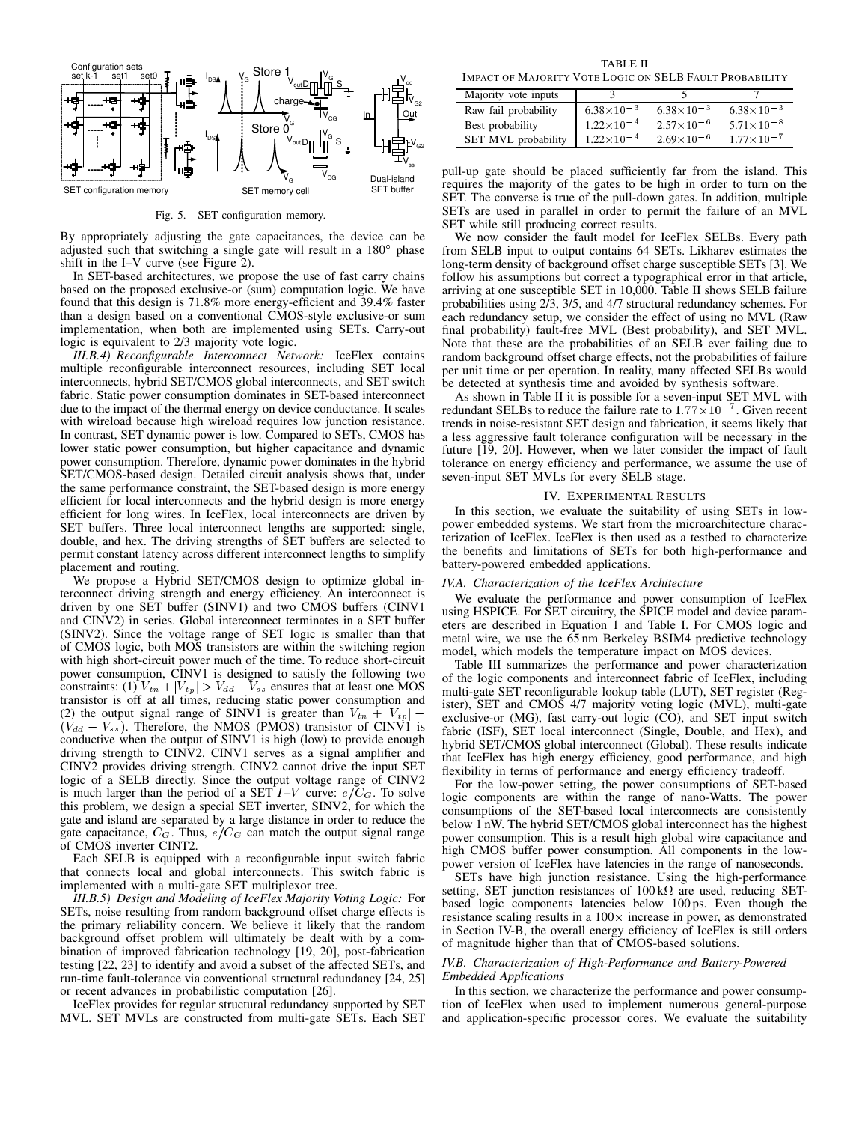

Fig. 5. SET configuration memory.

By appropriately adjusting the gate capacitances, the device can be adjusted such that switching a single gate will result in a 180° phase shift in the I–V curve (see Figure 2).

In SET-based architectures, we propose the use of fast carry chains based on the proposed exclusive-or (sum) computation logic. We have found that this design is 71.8% more energy-efficient and 39.4% faster than a design based on a conventional CMOS-style exclusive-or sum implementation, when both are implemented using SETs. Carry-out logic is equivalent to 2/3 majority vote logic.

*III.B.4) Reconfigurable Interconnect Network:* IceFlex contains multiple reconfigurable interconnect resources, including SET local interconnects, hybrid SET/CMOS global interconnects, and SET switch fabric. Static power consumption dominates in SET-based interconnect due to the impact of the thermal energy on device conductance. It scales with wireload because high wireload requires low junction resistance. In contrast, SET dynamic power is low. Compared to SETs, CMOS has lower static power consumption, but higher capacitance and dynamic power consumption. Therefore, dynamic power dominates in the hybrid SET/CMOS-based design. Detailed circuit analysis shows that, under the same performance constraint, the SET-based design is more energy efficient for local interconnects and the hybrid design is more energy efficient for long wires. In IceFlex, local interconnects are driven by SET buffers. Three local interconnect lengths are supported: single, double, and hex. The driving strengths of SET buffers are selected to permit constant latency across different interconnect lengths to simplify placement and routing.

We propose a Hybrid SET/CMOS design to optimize global interconnect driving strength and energy efficiency. An interconnect is driven by one SET buffer (SINV1) and two CMOS buffers (CINV1 and CINV2) in series. Global interconnect terminates in a SET buffer (SINV2). Since the voltage range of SET logic is smaller than that of CMOS logic, both MOS transistors are within the switching region with high short-circuit power much of the time. To reduce short-circuit power consumption, CINV1 is designed to satisfy the following two constraints: (1)  $V_{tn}$  +  $|V_{tp}|$  >  $V_{dd}$  –  $V_{ss}$  ensures that at least one MOS transistor is off at all times, reducing static power consumption and (2) the output signal range of SINV1 is greater than  $V_{tn} + |V_{tp}|$  –  $(V_{dd} - V_{ss})$ . Therefore, the NMOS (PMOS) transistor of CINV1 is conductive when the output of SINV1 is high (low) to provide enough driving strength to CINV2. CINV1 serves as a signal amplifier and CINV2 provides driving strength. CINV2 cannot drive the input SET logic of a SELB directly. Since the output voltage range of CINV2 is much larger than the period of a SET  $I-V$  curve:  $e/C_G$ . To solve this problem, we design a special SET inverter, SINV2, for which the gate and island are separated by a large distance in order to reduce the gate capacitance,  $C_G$ . Thus,  $e/C_G$  can match the output signal range of CMOS inverter CINT2.

Each SELB is equipped with a reconfigurable input switch fabric that connects local and global interconnects. This switch fabric is implemented with a multi-gate SET multiplexor tree.

*III.B.5) Design and Modeling of IceFlex Majority Voting Logic:* For SETs, noise resulting from random background offset charge effects is the primary reliability concern. We believe it likely that the random background offset problem will ultimately be dealt with by a combination of improved fabrication technology [19, 20], post-fabrication testing [22, 23] to identify and avoid a subset of the affected SETs, and run-time fault-tolerance via conventional structural redundancy [24, 25] or recent advances in probabilistic computation [26].

IceFlex provides for regular structural redundancy supported by SET MVL. SET MVLs are constructed from multi-gate SETs. Each SET

TABLE II IMPACT OF MAJORITY VOTE LOGIC ON SELB FAULT PROBABILITY

| Majority vote inputs       |                       |                       |                       |
|----------------------------|-----------------------|-----------------------|-----------------------|
| Raw fail probability       | $6.38 \times 10^{-3}$ | $6.38 \times 10^{-3}$ | $6.38 \times 10^{-3}$ |
| Best probability           | $1.22 \times 10^{-4}$ | $2.57 \times 10^{-6}$ | $5.71 \times 10^{-8}$ |
| <b>SET MVL</b> probability | $1.22 \times 10^{-4}$ | $2.69 \times 10^{-6}$ | $1.77 \times 10^{-7}$ |

pull-up gate should be placed sufficiently far from the island. This requires the majority of the gates to be high in order to turn on the SET. The converse is true of the pull-down gates. In addition, multiple SETs are used in parallel in order to permit the failure of an MVL SET while still producing correct results.

We now consider the fault model for IceFlex SELBs. Every path from SELB input to output contains 64 SETs. Likharev estimates the long-term density of background offset charge susceptible SETs [3]. We follow his assumptions but correct a typographical error in that article, arriving at one susceptible SET in 10,000. Table II shows SELB failure probabilities using 2/3, 3/5, and 4/7 structural redundancy schemes. For each redundancy setup, we consider the effect of using no MVL (Raw final probability) fault-free MVL (Best probability), and SET MVL. Note that these are the probabilities of an SELB ever failing due to random background offset charge effects, not the probabilities of failure per unit time or per operation. In reality, many affected SELBs would be detected at synthesis time and avoided by synthesis software.

As shown in Table II it is possible for a seven-input SET MVL with redundant SELBs to reduce the failure rate to  $1.77 \times 10^{-7}$ . Given recent trends in noise-resistant SET design and fabrication, it seems likely that a less aggressive fault tolerance configuration will be necessary in the future [19, 20]. However, when we later consider the impact of fault tolerance on energy efficiency and performance, we assume the use of seven-input SET MVLs for every SELB stage.

## IV. EXPERIMENTAL RESULTS

In this section, we evaluate the suitability of using SETs in lowpower embedded systems. We start from the microarchitecture characterization of IceFlex. IceFlex is then used as a testbed to characterize the benefits and limitations of SETs for both high-performance and battery-powered embedded applications.

## *IV.A. Characterization of the IceFlex Architecture*

We evaluate the performance and power consumption of IceFlex using HSPICE. For SET circuitry, the SPICE model and device parameters are described in Equation 1 and Table I. For CMOS logic and metal wire, we use the 65 nm Berkeley BSIM4 predictive technology model, which models the temperature impact on MOS devices.

Table III summarizes the performance and power characterization of the logic components and interconnect fabric of IceFlex, including multi-gate SET reconfigurable lookup table (LUT), SET register (Register), SET and CMOS 4/7 majority voting logic (MVL), multi-gate exclusive-or (MG), fast carry-out logic (CO), and SET input switch fabric (ISF), SET local interconnect (Single, Double, and Hex), and hybrid SET/CMOS global interconnect (Global). These results indicate that IceFlex has high energy efficiency, good performance, and high flexibility in terms of performance and energy efficiency tradeoff.

For the low-power setting, the power consumptions of SET-based logic components are within the range of nano-Watts. The power consumptions of the SET-based local interconnects are consistently below 1 nW. The hybrid SET/CMOS global interconnect has the highest power consumption. This is a result high global wire capacitance and high CMOS buffer power consumption. All components in the lowpower version of IceFlex have latencies in the range of nanoseconds.

SETs have high junction resistance. Using the high-performance setting, SET junction resistances of  $100 \text{ k}\Omega$  are used, reducing SETbased logic components latencies below 100 ps. Even though the resistance scaling results in a  $100 \times$  increase in power, as demonstrated in Section IV-B, the overall energy efficiency of IceFlex is still orders of magnitude higher than that of CMOS-based solutions.

# *IV.B. Characterization of High-Performance and Battery-Powered Embedded Applications*

In this section, we characterize the performance and power consumption of IceFlex when used to implement numerous general-purpose and application-specific processor cores. We evaluate the suitability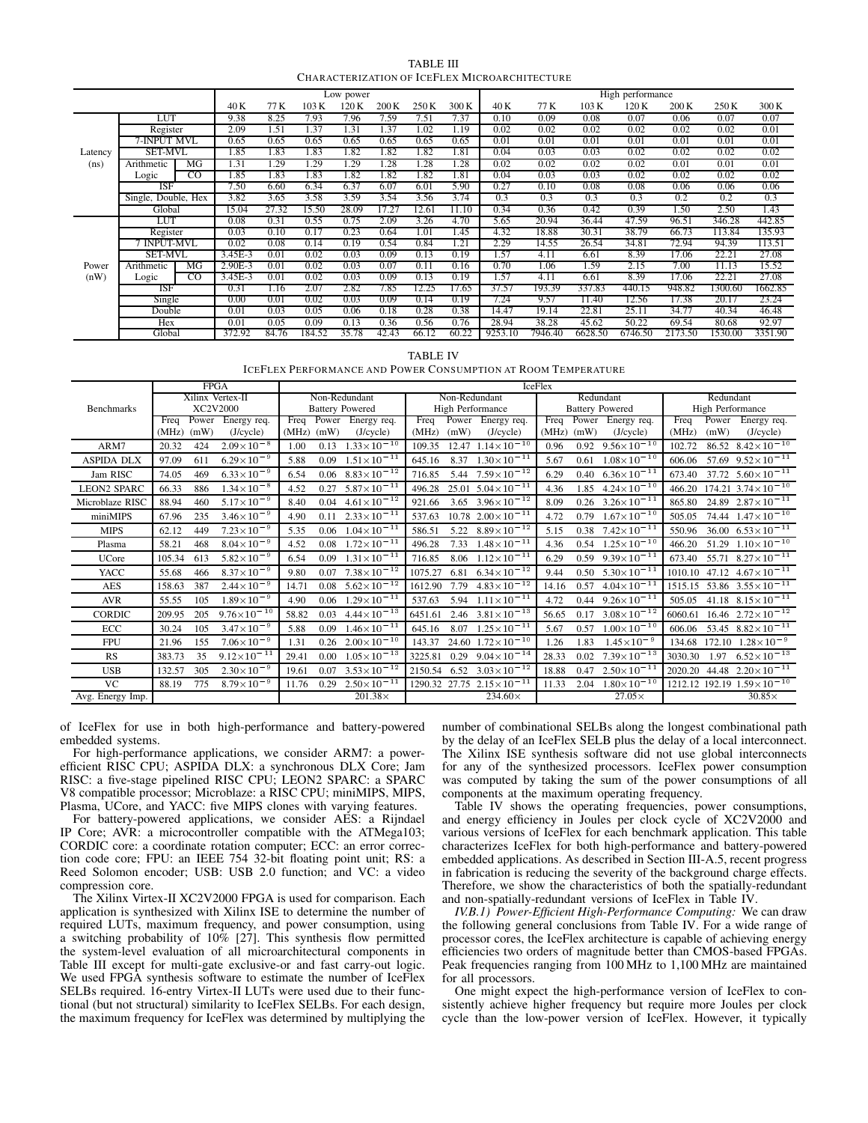TABLE III CHARACTERIZATION OF ICEFLEX MICROARCHITECTURE

|         |                     |                |           |       |        | Low power |       |       |       | High performance |         |         |         |         |         |         |
|---------|---------------------|----------------|-----------|-------|--------|-----------|-------|-------|-------|------------------|---------|---------|---------|---------|---------|---------|
|         |                     |                | 40 K      | 77 K  | 103 K  | 120 K     | 200K  | 250 K | 300 K | 40 K             | 77 K    | 103 K   | 120 K   | 200 K   | 250 K   | 300 K   |
|         | LUT                 |                | 9.38      | 8.25  | 7.93   | 7.96      | 7.59  | 7.51  | 7.37  | 0.10             | 0.09    | 0.08    | 0.07    | 0.06    | 0.07    | 0.07    |
|         | Register            |                | 2.09      | 1.51  | 1.37   | 1.31      | 1.37  | 1.02  | l.19  | 0.02             | 0.02    | 0.02    | 0.02    | 0.02    | 0.02    | 0.01    |
|         | 7-INPUT MVL         |                | 0.65      | 0.65  | 0.65   | 0.65      | 0.65  | 0.65  | 0.65  | 0.01             | 0.01    | 0.01    | 0.01    | 0.01    | 0.01    | 0.01    |
| Latency | <b>SET-MVL</b>      |                | 1.85      | 1.83  | 1.83   | 1.82      | 1.82  | 1.82  | .81   | 0.04             | 0.03    | 0.03    | 0.02    | 0.02    | 0.02    | 0.02    |
| (ns)    | Arithmetic          | MG             | 1.31      | 1.29  | 1.29   | 1.29      | 1.28  | 1.28  | 1.28  | 0.02             | 0.02    | 0.02    | 0.02    | 0.01    | 0.01    | 0.01    |
|         | Logic               | $_{\rm CO}$    | 1.85      | 1.83  | 1.83   | 1.82      | 1.82  | 1.82  | l.81  | 0.04             | 0.03    | 0.03    | 0.02    | 0.02    | 0.02    | 0.02    |
|         | ISF                 |                | 7.50      | 6.60  | 6.34   | 6.37      | 6.07  | 6.01  | 5.90  | 0.27             | 0.10    | 0.08    | 0.08    | 0.06    | 0.06    | 0.06    |
|         | Single, Double, Hex |                | 3.82      | 3.65  | 3.58   | 3.59      | 3.54  | 3.56  | 3.74  | 0.3              | 0.3     | 0.3     | 0.3     | 0.2     | 0.2     | 0.3     |
|         | Global              |                | 15.04     | 27.32 | 15.50  | 28.09     | 17.27 | 12.61 | 11.10 | 0.34             | 0.36    | 0.42    | 0.39    | 1.50    | 2.50    | 1.43    |
|         | LUT                 |                | 0.08      | 0.31  | 0.55   | 0.75      | 2.09  | 3.26  | 4.70  | 5.65             | 20.94   | 36.44   | 47.59   | 96.51   | 346.28  | 442.85  |
|         | Register            |                | 0.03      | 0.10  | 0.17   | 0.23      | 0.64  | 1.01  | .45   | 4.32             | 18.88   | 30.31   | 38.79   | 66.73   | 113.84  | 135.93  |
|         | 7 INPUT-MVL         |                | 0.02      | 0.08  | 0.14   | 0.19      | 0.54  | 0.84  | 1.21  | 2.29             | 14.55   | 26.54   | 34.81   | 72.94   | 94.39   | 113.51  |
|         | <b>SET-MVL</b>      |                | 3.45E-3   | 0.01  | 0.02   | 0.03      | 0.09  | 0.13  | 0.19  | 1.57             | 4.11    | 6.61    | 8.39    | 17.06   | 22.21   | 27.08   |
| Power   | Arithmetic          | MG             | $2.90E-3$ | 0.01  | 0.02   | 0.03      | 0.07  | 0.11  | 0.16  | 0.70             | 1.06    | 1.59    | 2.15    | 7.00    | 11.13   | 15.52   |
| (nW)    | Logic               | $\overline{c}$ | 3.45E-3   | 0.01  | 0.02   | 0.03      | 0.09  | 0.13  | 0.19  | 1.57             | 4.11    | 6.61    | 8.39    | 17.06   | 22.21   | 27.08   |
|         | ISF                 |                | 0.31      | 1.16  | 2.07   | 2.82      | 7.85  | 12.25 | 17.65 | 37.57            | 193.39  | 337.83  | 440.15  | 948.82  | 1300.60 | 1662.85 |
|         | Single              |                | 0.00      | 0.01  | 0.02   | 0.03      | 0.09  | 0.14  | 0.19  | 7.24             | 9.57    | 11.40   | 12.56   | 17.38   | 20.17   | 23.24   |
|         | Double              |                | 0.01      | 0.03  | 0.05   | 0.06      | 0.18  | 0.28  | 0.38  | 14.47            | 19.14   | 22.81   | 25.11   | 34.77   | 40.34   | 46.48   |
|         | Hex                 |                | 0.01      | 0.05  | 0.09   | 0.13      | 0.36  | 0.56  | 0.76  | 28.94            | 38.28   | 45.62   | 50.22   | 69.54   | 80.68   | 92.97   |
|         | Global              |                | 372.92    | 84.76 | 184.52 | 35.78     | 42.43 | 66.12 | 60.22 | 9253.10          | 7946.40 | 6628.50 | 6746.50 | 2173.50 | 1530.00 | 3351.90 |

TABLE IV

ICEFLEX PERFORMANCE AND POWER CONSUMPTION AT ROOM TEMPERATURE

|                    | <b>FPGA</b>                                      |                                         |                                           |                                         |                                                         |  |  |
|--------------------|--------------------------------------------------|-----------------------------------------|-------------------------------------------|-----------------------------------------|---------------------------------------------------------|--|--|
|                    | Xilinx Vertex-II                                 | Non-Redundant                           | Non-Redundant                             | Redundant                               | Redundant                                               |  |  |
| <b>Benchmarks</b>  | XC2V2000                                         | <b>Battery Powered</b>                  | <b>High Performance</b>                   | <b>Battery Powered</b>                  | High Performance                                        |  |  |
|                    | Power<br>Energy req.<br>Freq                     | Freq<br>Power<br>Energy req.            | Freq<br>Energy req.<br>Power              | Freq<br>Power<br>Energy req.            | Freq<br>Energy req.<br>Power                            |  |  |
|                    | (mW)<br>(MHz)<br>(J/cycle)                       | (mW)<br>(MHz)<br>(J/cycle)              | (mW)<br>(MHz)<br>(J/cycle)                | (mW)<br>(MHz)<br>(J/cycle)              | (mW)<br>(MHz)<br>(J/cycle)                              |  |  |
| ARM7               | $2.09 \times 10^{-8}$<br>20.32<br>424            | $1.33 \times 10^{-10}$<br>1.00<br>0.13  | $1.14 \times 10^{-10}$<br>109.35<br>12.47 | $9.56 \times 10^{-10}$<br>0.96<br>0.92  | $8.42 \times 10^{-10}$<br>102.72<br>86.52               |  |  |
| ASPIDA DLX         | $6.29 \times 10^{-9}$<br>97.09<br>611            | $1.51 \times 10^{-11}$<br>0.09<br>5.88  | $1.30 \times 10^{-11}$<br>8.37<br>645.16  | $1.08 \times 10^{-10}$<br>0.61<br>5.67  | 57.69 $9.52 \times 10^{-11}$<br>606.06                  |  |  |
| Jam RISC           | $6.33 \times 10^{-9}$<br>74.05<br>469            | $8.83 \times 10^{-12}$<br>0.06<br>6.54  | $7.59 \times 10^{-12}$<br>716.85<br>5.44  | $6.36 \times 10^{-11}$<br>6.29<br>0.40  | 37.72 $5.60 \times 10^{-11}$<br>673.40                  |  |  |
| <b>LEON2 SPARC</b> | $1.34 \times 10^{-8}$<br>66.33<br>886            | $5.87 \times 10^{-11}$<br>0.27<br>4.52  | $5.04 \times 10^{-11}$<br>25.01<br>496.28 | $4.24 \times 10^{-10}$<br>1.85<br>4.36  | $174.21$ $3.74 \times 10^{-10}$<br>466.20               |  |  |
| Microblaze RISC    | $5.17 \times 10^{-9}$<br>460<br>88.94            | $4.61 \times 10^{-12}$<br>8.40<br>0.04  | 3.65 $3.96 \times 10^{-12}$<br>921.66     | $3.26 \times 10^{-11}$<br>8.09<br>0.26  | 24.89 $2.87 \times 10^{-11}$<br>865.80                  |  |  |
| miniMIPS           | $3.46 \times 10^{-9}$<br>67.96<br>235            | $2.33 \times 10^{-11}$<br>4.90<br>0.11  | $10.78$ $2.00 \times 10^{-11}$<br>537.63  | $1.67 \times 10^{-10}$<br>0.79<br>4.72  | 74.44 $1.47 \times 10^{-10}$<br>505.05                  |  |  |
| <b>MIPS</b>        | $7.23 \times 10^{-9}$<br>62.12<br>449            | $1.04 \times 10^{-11}$<br>5.35<br>0.06  | $8.89 \times 10^{-12}$<br>5.22<br>586.51  | $7.42 \times 10^{-11}$<br>0.38<br>5.15  | 36.00 $6.53 \times 10^{-11}$<br>550.96                  |  |  |
| Plasma             | $8.04 \times 10^{-9}$<br>58.21<br>468            | $1.72 \times 10^{-11}$<br>4.52<br>0.08  | $1.48 \times 10^{-11}$<br>496.28<br>7.33  | $1.25 \times 10^{-10}$<br>4.36<br>0.54  | 51.29 $1.10 \times 10^{-10}$<br>466.20                  |  |  |
| <b>UCore</b>       | $5.82 \times 10^{-9}$<br>105.34<br>613           | $1.31 \times 10^{-11}$<br>0.09<br>6.54  | $1.12 \times 10^{-11}$<br>8.06<br>716.85  | $9.39 \times 10^{-11}$<br>0.59<br>6.29  | $8.27 \times 10^{-11}$<br>55.71<br>673.40               |  |  |
| YACC               | $8.37 \times 10^{-9}$<br>466<br>55.68            | $7.38 \times 10^{-12}$<br>9.80<br>0.07  | $6.34 \times 10^{-12}$<br>6.81<br>1075.27 | $5.30 \times 10^{-11}$<br>0.50<br>9.44  | $1010.10$ 47.12 $4.67 \times 10^{-11}$                  |  |  |
| <b>AES</b>         | $2.44 \times 10^{-9}$<br>387<br>158.63           | $5.62 \times 10^{-12}$<br>14.71<br>0.08 | $4.83 \times 10^{-12}$<br>1612.90<br>7.79 | $4.04 \times 10^{-11}$<br>0.57<br>14.16 | $\frac{1515.15}{53.86}$ 3.55 $\times$ 10 <sup>-11</sup> |  |  |
| <b>AVR</b>         | $1.89 \times 10^{-9}$<br>105<br>55.55            | $1.29 \times 10^{-11}$<br>0.06<br>4.90  | $1.11 \times 10^{-11}$<br>537.63<br>5.94  | $9.26 \times 10^{-11}$<br>4.72<br>0.44  | 41.18 $8.15 \times 10^{-11}$<br>505.05                  |  |  |
| CORDIC             | $9.76 \times 10^{-10}$<br>205<br>209.95          | $4.44 \times 10^{-13}$<br>58.82<br>0.03 | $3.81 \times 10^{-13}$<br>2.46<br>6451.61 | $3.08 \times 10^{-12}$<br>0.17<br>56.65 | 16.46 $2.72 \times 10^{-12}$<br>6060.61                 |  |  |
| ECC                | $3.47 \times 10^{-9}$<br>105<br>30.24            | $1.46 \times 10^{-11}$<br>5.88<br>0.09  | $1.25 \times 10^{-11}$<br>645.16<br>8.07  | $1.00 \times 10^{-10}$<br>0.57<br>5.67  | 53.45 $8.82 \times 10^{-11}$<br>606.06                  |  |  |
| <b>FPU</b>         | $7.06 \times 10^{-\overline{9}}$<br>21.96<br>155 | $2.00 \times 10^{-10}$<br>1.31<br>0.26  | 24.60 $1.72 \times 10^{-10}$<br>143.37    | $1.45 \times 10^{-9}$<br>1.83<br>1.26   | 172.10 $1.28 \times 10^{-9}$<br>134.68                  |  |  |
| RS                 | $9.12 \times 10^{-11}$<br>383.73<br>35           | $1.05 \times 10^{-13}$<br>29.41<br>0.00 | $9.04 \times 10^{-14}$<br>3225.81<br>0.29 | $7.39 \times 10^{-13}$<br>28.33<br>0.02 | $6.52 \times 10^{-13}$<br>3030.30<br>1.97               |  |  |
| <b>USB</b>         | $2.30 \times 10^{-9}$<br>305<br>132.57           | $3.53 \times 10^{-12}$<br>0.07<br>19.61 | $3.03 \times 10^{-12}$<br>6.52<br>2150.54 | $2.50 \times 10^{-11}$<br>18.88<br>0.47 | $2.20 \times 10^{-11}$<br>2020.20<br>44.48              |  |  |
| <b>VC</b>          | $8.79 \times 10^{-9}$<br>88.19<br>775            | $2.50 \times 10^{-11}$<br>0.29<br>11.76 | $2.15 \times 10^{-11}$<br>1290.32 27.75   | $1.80 \times 10^{-10}$<br>11.33<br>2.04 | 1212.12 192.19 $1.59 \times 10^{-10}$                   |  |  |
| Avg. Energy Imp.   |                                                  | $201.38\times$                          | 234.60×                                   | $27.05\times$                           | $30.85\times$                                           |  |  |

of IceFlex for use in both high-performance and battery-powered embedded systems.

For high-performance applications, we consider ARM7: a powerefficient RISC CPU; ASPIDA DLX: a synchronous DLX Core; Jam RISC: a five-stage pipelined RISC CPU; LEON2 SPARC: a SPARC V8 compatible processor; Microblaze: a RISC CPU; miniMIPS, MIPS, Plasma, UCore, and YACC: five MIPS clones with varying features.

For battery-powered applications, we consider AES: a Rijndael IP Core; AVR: a microcontroller compatible with the ATMega103; CORDIC core: a coordinate rotation computer; ECC: an error correction code core; FPU: an IEEE 754 32-bit floating point unit; RS: a Reed Solomon encoder; USB: USB 2.0 function; and VC: a video compression core.

The Xilinx Virtex-II XC2V2000 FPGA is used for comparison. Each application is synthesized with Xilinx ISE to determine the number of required LUTs, maximum frequency, and power consumption, using a switching probability of 10% [27]. This synthesis flow permitted the system-level evaluation of all microarchitectural components in Table III except for multi-gate exclusive-or and fast carry-out logic. We used FPGA synthesis software to estimate the number of IceFlex SELBs required. 16-entry Virtex-II LUTs were used due to their functional (but not structural) similarity to IceFlex SELBs. For each design, the maximum frequency for IceFlex was determined by multiplying the

number of combinational SELBs along the longest combinational path by the delay of an IceFlex SELB plus the delay of a local interconnect. The Xilinx ISE synthesis software did not use global interconnects for any of the synthesized processors. IceFlex power consumption was computed by taking the sum of the power consumptions of all components at the maximum operating frequency.

Table IV shows the operating frequencies, power consumptions, and energy efficiency in Joules per clock cycle of XC2V2000 and various versions of IceFlex for each benchmark application. This table characterizes IceFlex for both high-performance and battery-powered embedded applications. As described in Section III-A.5, recent progress in fabrication is reducing the severity of the background charge effects. Therefore, we show the characteristics of both the spatially-redundant and non-spatially-redundant versions of IceFlex in Table IV.

*IV.B.1) Power-Efficient High-Performance Computing:* We can draw the following general conclusions from Table IV. For a wide range of processor cores, the IceFlex architecture is capable of achieving energy efficiencies two orders of magnitude better than CMOS-based FPGAs. Peak frequencies ranging from 100 MHz to 1,100 MHz are maintained for all processors.

One might expect the high-performance version of IceFlex to consistently achieve higher frequency but require more Joules per clock cycle than the low-power version of IceFlex. However, it typically